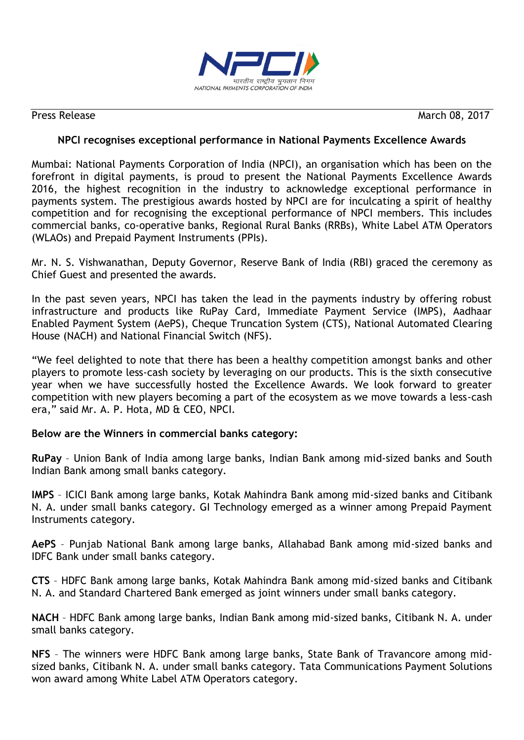

Press Release March 08, 2017

# **NPCI recognises exceptional performance in National Payments Excellence Awards**

Mumbai: National Payments Corporation of India (NPCI), an organisation which has been on the forefront in digital payments, is proud to present the National Payments Excellence Awards 2016, the highest recognition in the industry to acknowledge exceptional performance in payments system. The prestigious awards hosted by NPCI are for inculcating a spirit of healthy competition and for recognising the exceptional performance of NPCI members. This includes commercial banks, co-operative banks, Regional Rural Banks (RRBs), White Label ATM Operators (WLAOs) and Prepaid Payment Instruments (PPIs).

Mr. N. S. Vishwanathan, Deputy Governor, Reserve Bank of India (RBI) graced the ceremony as Chief Guest and presented the awards.

In the past seven years, NPCI has taken the lead in the payments industry by offering robust infrastructure and products like RuPay Card, Immediate Payment Service (IMPS), Aadhaar Enabled Payment System (AePS), Cheque Truncation System (CTS), National Automated Clearing House (NACH) and National Financial Switch (NFS).

"We feel delighted to note that there has been a healthy competition amongst banks and other players to promote less-cash society by leveraging on our products. This is the sixth consecutive year when we have successfully hosted the Excellence Awards. We look forward to greater competition with new players becoming a part of the ecosystem as we move towards a less-cash era," said Mr. A. P. Hota, MD & CEO, NPCI.

# **Below are the Winners in commercial banks category:**

**RuPay** – Union Bank of India among large banks, Indian Bank among mid-sized banks and South Indian Bank among small banks category.

**IMPS** – ICICI Bank among large banks, Kotak Mahindra Bank among mid-sized banks and Citibank N. A. under small banks category. GI Technology emerged as a winner among Prepaid Payment Instruments category.

**AePS** – Punjab National Bank among large banks, Allahabad Bank among mid-sized banks and IDFC Bank under small banks category.

**CTS** – HDFC Bank among large banks, Kotak Mahindra Bank among mid-sized banks and Citibank N. A. and Standard Chartered Bank emerged as joint winners under small banks category.

**NACH** – HDFC Bank among large banks, Indian Bank among mid-sized banks, Citibank N. A. under small banks category.

**NFS** – The winners were HDFC Bank among large banks, State Bank of Travancore among midsized banks, Citibank N. A. under small banks category. Tata Communications Payment Solutions won award among White Label ATM Operators category.